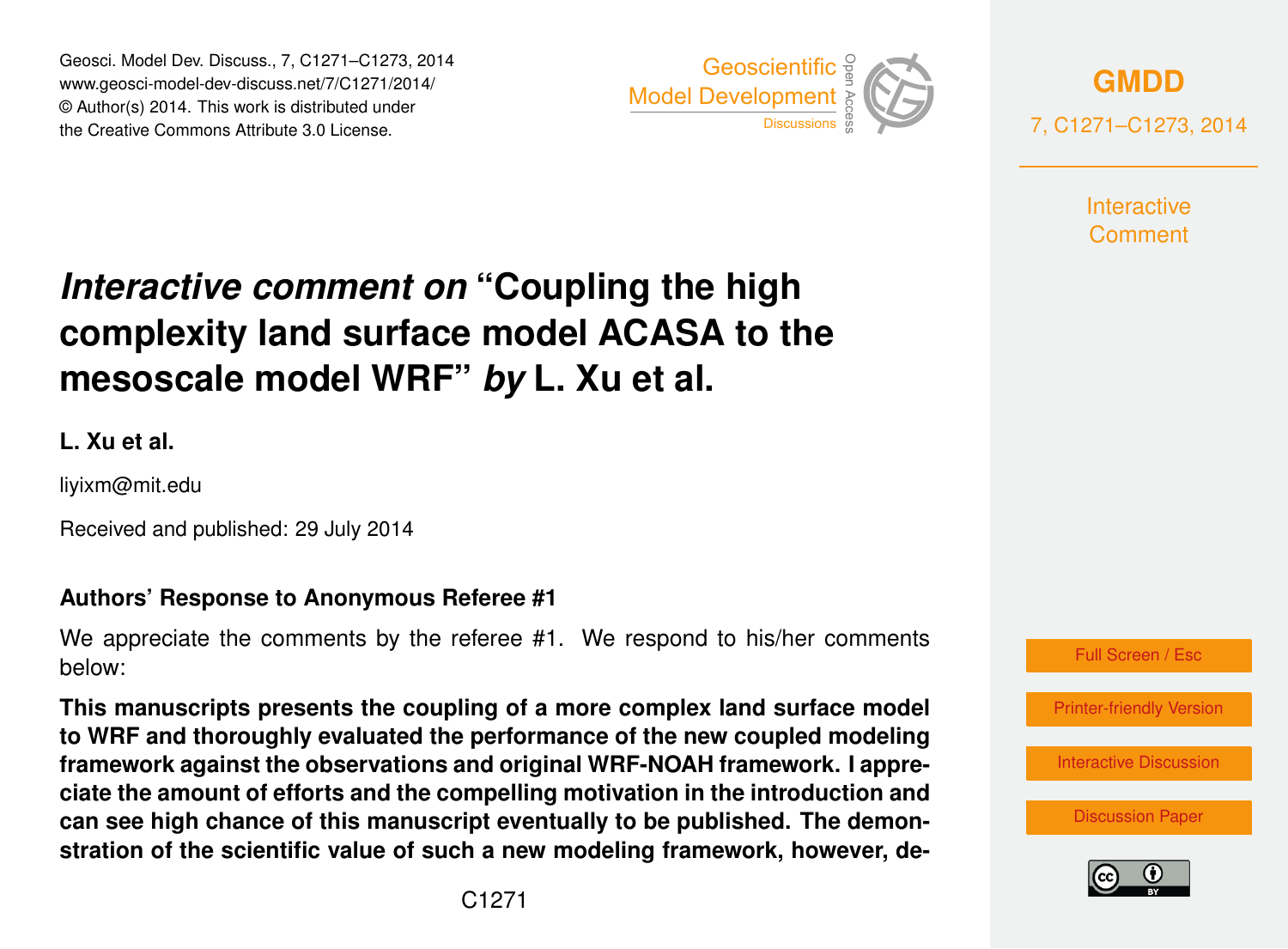Geosci. Model Dev. Discuss., 7, C1271–C1273, 2014 www.geosci-model-dev-discuss.net/7/C1271/2014/ © Author(s) 2014. This work is distributed under Geosci. Model Dev. Discuss., 7, C1271–C1273, 2014<br>www.geosci-model-dev-discuss.net/7/C1271/2014/<br>© Author(s) 2014. This work is distributed under<br>the Creative Commons Attribute 3.0 License.



**[GMDD](http://www.geosci-model-dev-discuss.net)** 7, C1271–C1273, 2014

> **Interactive** Comment

# *Interactive comment on* **"Coupling the high complexity land surface model ACASA to the mesoscale model WRF"** *by* **L. Xu et al.**

**L. Xu et al.**

liyixm@mit.edu

Received and published: 29 July 2014

## **Authors' Response to Anonymous Referee #1**

We appreciate the comments by the referee #1. We respond to his/her comments below:

**This manuscripts presents the coupling of a more complex land surface model to WRF and thoroughly evaluated the performance of the new coupled modeling framework against the observations and original WRF-NOAH framework. I appreciate the amount of efforts and the compelling motivation in the introduction and can see high chance of this manuscript eventually to be published. The demonstration of the scientific value of such a new modeling framework, however, de-**



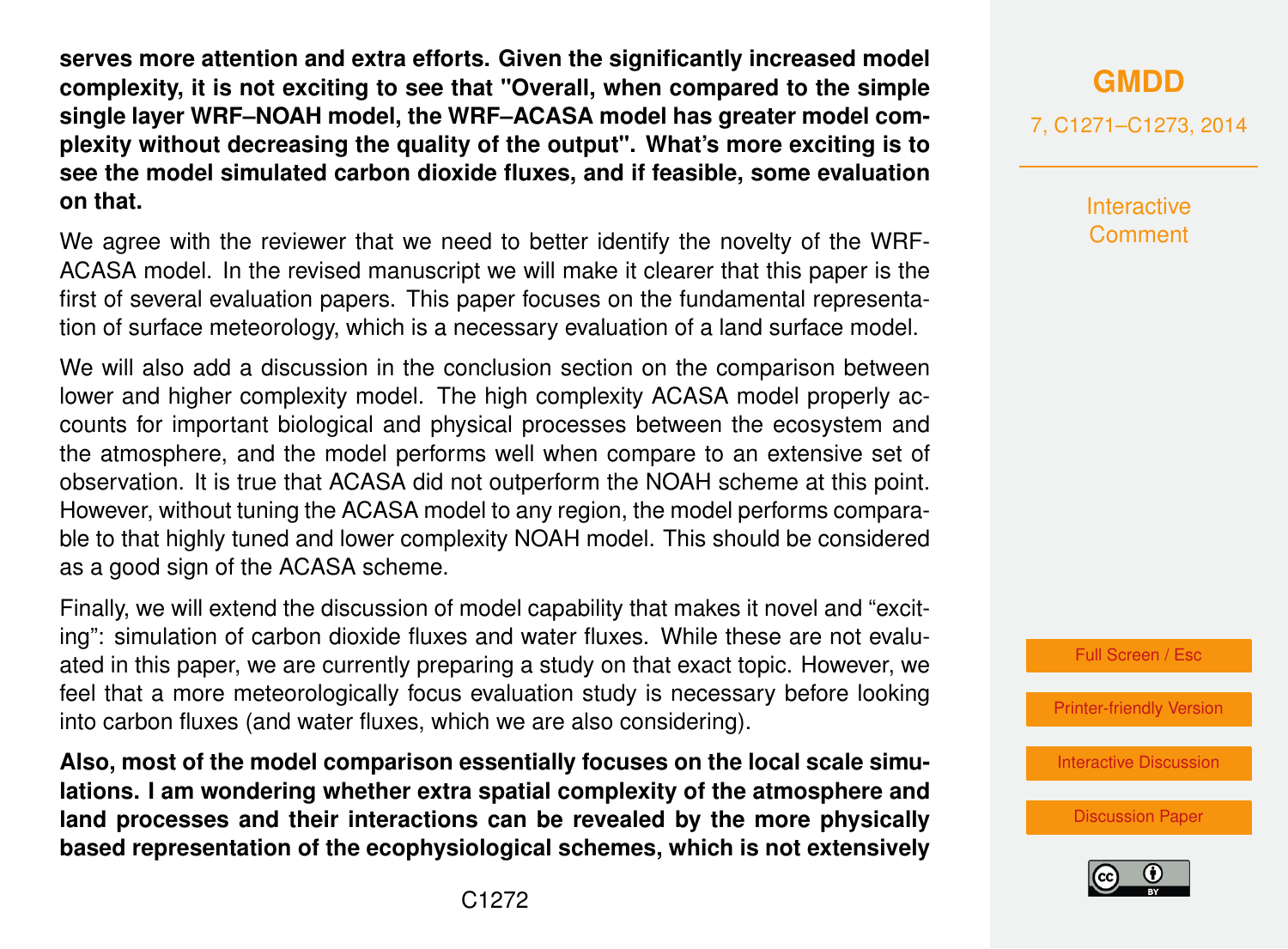**serves more attention and extra efforts. Given the significantly increased model complexity, it is not exciting to see that "Overall, when compared to the simple single layer WRF–NOAH model, the WRF–ACASA model has greater model complexity without decreasing the quality of the output". What's more exciting is to see the model simulated carbon dioxide fluxes, and if feasible, some evaluation on that.**

We agree with the reviewer that we need to better identify the novelty of the WRF-ACASA model. In the revised manuscript we will make it clearer that this paper is the first of several evaluation papers. This paper focuses on the fundamental representation of surface meteorology, which is a necessary evaluation of a land surface model.

We will also add a discussion in the conclusion section on the comparison between lower and higher complexity model. The high complexity ACASA model properly accounts for important biological and physical processes between the ecosystem and the atmosphere, and the model performs well when compare to an extensive set of observation. It is true that ACASA did not outperform the NOAH scheme at this point. However, without tuning the ACASA model to any region, the model performs comparable to that highly tuned and lower complexity NOAH model. This should be considered as a good sign of the ACASA scheme.

Finally, we will extend the discussion of model capability that makes it novel and "exciting": simulation of carbon dioxide fluxes and water fluxes. While these are not evaluated in this paper, we are currently preparing a study on that exact topic. However, we feel that a more meteorologically focus evaluation study is necessary before looking into carbon fluxes (and water fluxes, which we are also considering).

**Also, most of the model comparison essentially focuses on the local scale simulations. I am wondering whether extra spatial complexity of the atmosphere and land processes and their interactions can be revealed by the more physically based representation of the ecophysiological schemes, which is not extensively** 7, C1271–C1273, 2014

**Interactive** Comment



[Printer-friendly Version](http://www.geosci-model-dev-discuss.net/7/C1271/2014/gmdd-7-C1271-2014-print.pdf)

[Interactive Discussion](http://www.geosci-model-dev-discuss.net/7/2829/2014/gmdd-7-2829-2014-discussion.html)

[Discussion Paper](http://www.geosci-model-dev-discuss.net/7/2829/2014/gmdd-7-2829-2014.pdf)